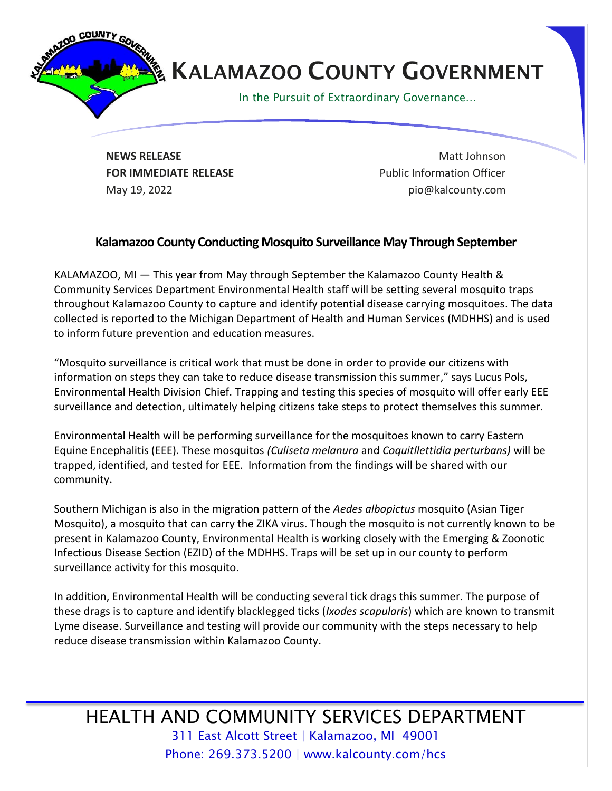

## **KALAMAZOO COUNTY GOVERNMENT**

In the Pursuit of Extraordinary Governance…

**NEWS RELEASE** Matt Johnson **FOR IMMEDIATE RELEASE EXAMPLE 2008** Public Information Officer May 19, 2022 **pio@kalcounty.com** 

## **Kalamazoo County Conducting Mosquito Surveillance May Through September**

KALAMAZOO, MI — This year from May through September the Kalamazoo County Health & Community Services Department Environmental Health staff will be setting several mosquito traps throughout Kalamazoo County to capture and identify potential disease carrying mosquitoes. The data collected is reported to the Michigan Department of Health and Human Services (MDHHS) and is used to inform future prevention and education measures.

"Mosquito surveillance is critical work that must be done in order to provide our citizens with information on steps they can take to reduce disease transmission this summer," says Lucus Pols, Environmental Health Division Chief. Trapping and testing this species of mosquito will offer early EEE surveillance and detection, ultimately helping citizens take steps to protect themselves this summer.

Environmental Health will be performing surveillance for the mosquitoes known to carry Eastern Equine Encephalitis (EEE). These mosquitos *(Culiseta melanura* and *Coquitllettidia perturbans)* will be trapped, identified, and tested for EEE. Information from the findings will be shared with our community.

Southern Michigan is also in the migration pattern of the *Aedes albopictus* mosquito (Asian Tiger Mosquito), a mosquito that can carry the ZIKA virus. Though the mosquito is not currently known to be present in Kalamazoo County, Environmental Health is working closely with the Emerging & Zoonotic Infectious Disease Section (EZID) of the MDHHS. Traps will be set up in our county to perform surveillance activity for this mosquito.

In addition, Environmental Health will be conducting several tick drags this summer. The purpose of these drags is to capture and identify blacklegged ticks (*Ixodes scapularis*) which are known to transmit Lyme disease. Surveillance and testing will provide our community with the steps necessary to help reduce disease transmission within Kalamazoo County.

## HEALTH AND COMMUNITY SERVICES DEPARTMENT 311 East Alcott Street | Kalamazoo, MI 49001 Phone: 269.373.5200 | www.kalcounty.com/hcs